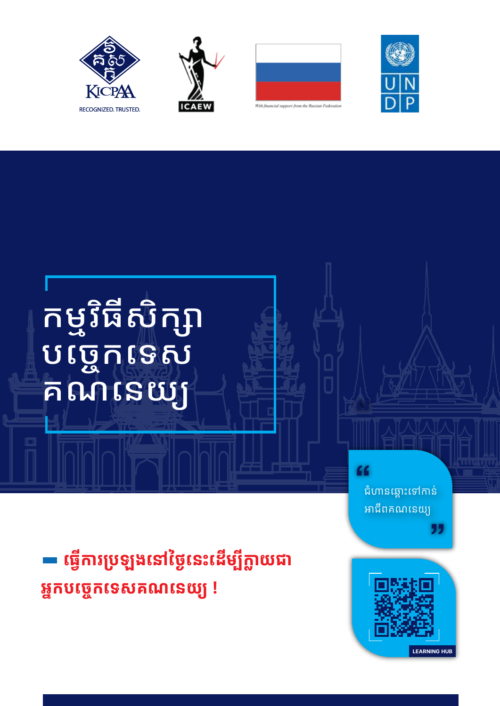







កម្មវិធីសិក្សា<br>បច្ចេកទេស<br>គណនេយ្យ

ជំហានឆ្ពោះទៅកាន់ អាជីពគណនេយ្យ

"

 $66$ 

ធ្វើការប្រឡងនៅថ្ងៃនេះដើម្បីក្លាយជា អ្នកបច្ចេកទេសគណនេយ្យ!

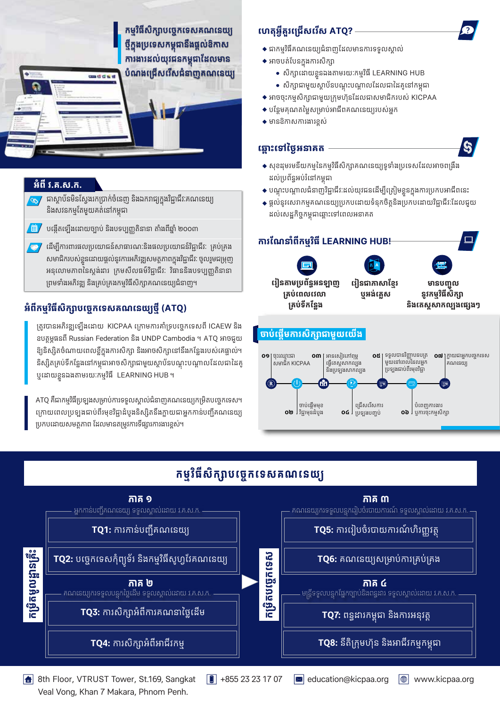កម្មវិធីសិក្សាបច្ចេកទេសគណនេយ្យ ថ្មីក្នុងប្រទេសកម្ពុជានឹងផ្តល់ឱកាស ការងារដល់យុវជនកម្ពុជាដែលមាន បំណងជ្រើសរើសជំនាញគណនេយ្យ

#### **អំពី វ.គ.ស.ក.**

- ជាស្ថាប័នមិនស្វែងរកប្រាក់ចំនេញ និងឯករាជ្យក្នុងវិជ្ជាជីវៈគណនេយ្យ និងសវនកម្មតែមួយគត់នៅកម្ពុជា
- បង្កើតឡើងដោយច្បាប់ និងបទប្បញ្ញតិនានា តាំងពីឆ្នាំ ២០០៣ /iii

 $m + 1$ 

ដើម្បីការពារផលប្រយោជន៍សាធារណៈនិងផលប្រយោជន៍វិជ្ជាជីវៈ គ្រប់គ្រង សមាជិករបស់ខ្លួនដោយផ្តល់នូវការអភិវឌ្ឍសមត្ថភាពក្នុងវិជ្ជាជីវៈ ចូលរួមជម្រុញ អនុលោមភាពនៃស្តង់ដារ ក្រមសីលធម៌វិជ្ជាជីវៈ វិធាននិងបទប្បញ្ញតិនានា ព្រមទាំងអភិវឌ្ឍ និងគ្រប់គ្រងកម្មវិធីសិក្សាគណនេយ្យជំនាញ។

### អំពីកម្មវិធីសិក្សាបច្ចេកទេសគណនេយ្យថ្មី (ATQ)

ត្រូវបានអភិវឌ្ឍឡើងដោយ KICPAA ក្រោមការគាំទ្របច្ចេកទេសពី ICAEW និង ឧបត្ថម្ភធនពី Russian Federation និង UNDP Cambodia ។ ATQ អាចជួយ ឱ្យនិស្សិតចំណាយពេលខ្លីក្នុងការសិក្សា និងអាចសិក្សានៅនឹងកន្លែងរបស់គេផ្ទាល់។ និស្សិតគ្រប់ទីកន្លែងនៅកម្ពុជាអាចសិក្សាជាមួយស្ថាប័នបណ្តុះបណ្តាលដែលជាដៃគូ ឬដោយខ្លួនឯងតាមរយៈកម្មវិធី LEARNING HUB ។

ATQ គឺជាកម្មវិធីប្រទ្យុងសម្រាប់ការទទួលស្គាល់ជំនាញគណនេយ្យកម្រិតបច្ចេកទេស។ ក្រោយពេលប្រឡងជាប់ពីរមុខវិជ្ជាដំបូងនិស្សិតនឹងក្លាយជាអ្នកកាន់បញ្ជីគណនេយ្យ ប្រកបដោយសមត្ថភាព ដែលមានតម្រូវការទីផ្សារការងារខ្ពស់។

## ហេតុអ្វីគួរជ្រើសរើស ATQ? -

- $\bullet$  ជាកម្មវិធីគណនេយ្យជំនាញដែលមានការទទួលស្គាល់
- $\blacklozenge$  អាចបត់បែនក្នុងការសិក្សា
	- សិក្សាដោយខ្លួនឯងតាមរយៈកម្មវិធី LEARNING HUB
	- សិក្សាជាមួយស្ថាប័នបណ្តុះបណ្តាលដែលជាដៃគូនៅកម្ពុជា
- $\blacklozenge$  អាចចុះកម្មសិក្សាជាមួយក្រុមហ៊ុនដែលជាសមាជិករបស់ KICPAA
- $\bullet$  បន្ថែមគុណតម្លៃសម្រាប់អាជីពគណនេយ្យរបស់អ្នក
- $\blacklozenge$  មានឱកាសការងារខ្ពស់

#### ឆ្ពោះទៅថ្ងៃអនាគត



- ◆ សុខដុមរមនីយកម្មនៃកម្មវិធីសិក្សាគណនេយ្យទូទាំងប្រទេសដែលអាចពង្រឹង ដល់ប្រព័ន្ធអប់រំនៅកម្ពុជា
- ◆ បណ្តុះបណ្តាលជំនាញវិជ្ជាជីវៈដល់យុវជនដើម្បីត្រៀមខ្លួនក្នុងការប្រកបអាជីពនេះ
- $\bullet$  ផ្តល់នូវសេវាកម្មគណនេយ្យប្រកបដោយទំនុកចិត្តនិងប្រកបដោយវិជ្ជាជីវៈដែលជួយ ដល់សេដ្ឋកិច្ចកម្ពុជាឆ្ពោះទៅពេលអនាគត



## កម្មវិធីសិក្សាបច្ចេកទេសគណនេយ្យ



8th Floor, VTRUST Tower, St.169, Sangkat Veal Vong, Khan 7 Makara, Phnom Penh.

 $\boxed{0}$  +855 23 23 17 07

 $\infty$  education@kicpaa.org  $|\oplus|$  www.kicpaa.org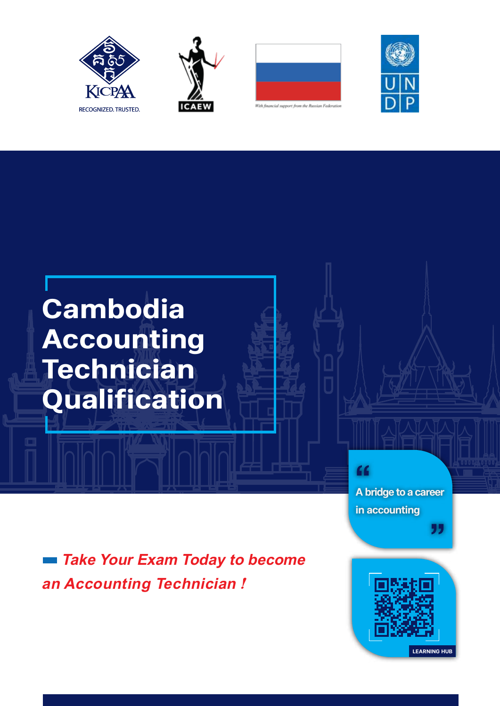







# **Cambodia Accounting Technician Qualification**

**A bridge to a career in accounting** "

 $66$ 

 *Take Your Exam Today to become an Accounting Technician !*